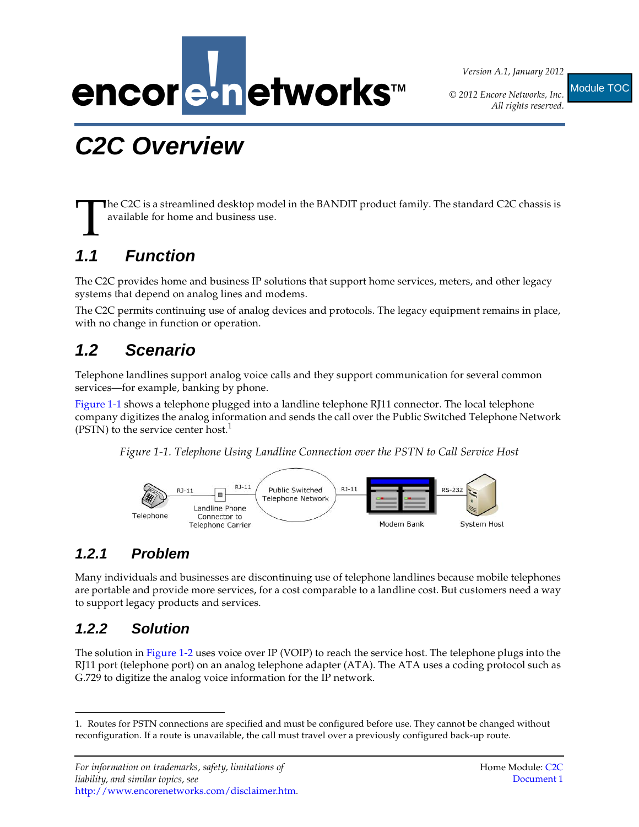

*Version A.1, January 2012*

*© 2012 Encore Networks, Inc.*

*All rights reserved.*

Module TOC

# <span id="page-0-1"></span>**C2C Overview**

**The C2C is a streamlined desktop model in the BANDIT product family. The standard C2C chassis is** available for home and business use. T

# **1.1 Function**

The C2C provides home and business IP solutions that support home services, meters, and other legacy systems that depend on analog lines and modems.

The C2C permits continuing use of analog devices and protocols. The legacy equipment remains in place, with no change in function or operation.

## **1.2 Scenario**

Telephone landlines support analog voice calls and they support communication for several common services—for example, banking by phone.

[Figure 1-1](#page-0-0) shows a telephone plugged into a landline telephone RJ11 connector. The local telephone company digitizes the analog information and sends the call over the Public Switched Telephone Network (PSTN) to the service center host.<sup>1</sup>

<span id="page-0-0"></span>*Figure 1-1. Telephone Using Landline Connection over the PSTN to Call Service Host* 



#### **1.2.1 Problem**

Many individuals and businesses are discontinuing use of telephone landlines because mobile telephones are portable and provide more services, for a cost comparable to a landline cost. But customers need a way to support legacy products and services.

#### **1.2.2 Solution**

The solution in [Figure 1-2](#page-1-0) uses voice over IP (VOIP) to reach the service host. The telephone plugs into the RJ11 port (telephone port) on an analog telephone adapter (ATA). The ATA uses a coding protocol such as G.729 to digitize the analog voice information for the IP network.

<sup>1.</sup> Routes for PSTN connections are specified and must be configured before use. They cannot be changed without reconfiguration. If a route is unavailable, the call must travel over a previously configured back-up route.